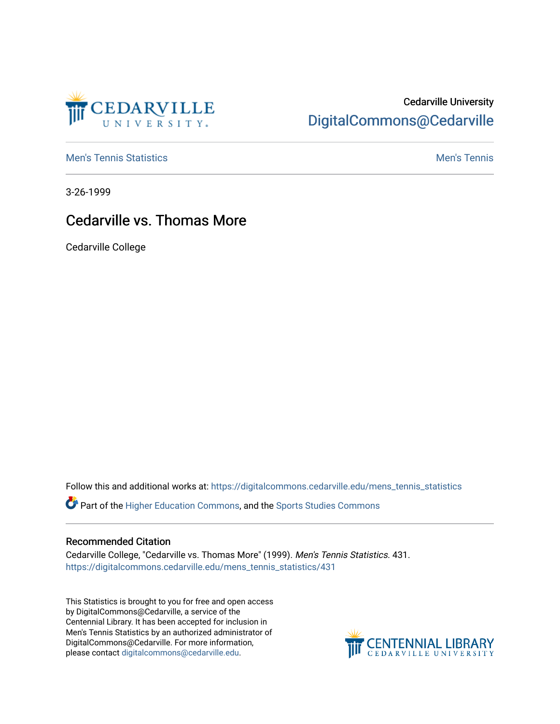

## Cedarville University [DigitalCommons@Cedarville](https://digitalcommons.cedarville.edu/)

**[Men's Tennis Statistics](https://digitalcommons.cedarville.edu/mens_tennis_statistics) Men's Tennis** Men's Tennis

3-26-1999

## Cedarville vs. Thomas More

Cedarville College

Follow this and additional works at: [https://digitalcommons.cedarville.edu/mens\\_tennis\\_statistics](https://digitalcommons.cedarville.edu/mens_tennis_statistics?utm_source=digitalcommons.cedarville.edu%2Fmens_tennis_statistics%2F431&utm_medium=PDF&utm_campaign=PDFCoverPages)

Part of the [Higher Education Commons,](http://network.bepress.com/hgg/discipline/1245?utm_source=digitalcommons.cedarville.edu%2Fmens_tennis_statistics%2F431&utm_medium=PDF&utm_campaign=PDFCoverPages) and the [Sports Studies Commons](http://network.bepress.com/hgg/discipline/1198?utm_source=digitalcommons.cedarville.edu%2Fmens_tennis_statistics%2F431&utm_medium=PDF&utm_campaign=PDFCoverPages) 

## Recommended Citation

Cedarville College, "Cedarville vs. Thomas More" (1999). Men's Tennis Statistics. 431. [https://digitalcommons.cedarville.edu/mens\\_tennis\\_statistics/431](https://digitalcommons.cedarville.edu/mens_tennis_statistics/431?utm_source=digitalcommons.cedarville.edu%2Fmens_tennis_statistics%2F431&utm_medium=PDF&utm_campaign=PDFCoverPages) 

This Statistics is brought to you for free and open access by DigitalCommons@Cedarville, a service of the Centennial Library. It has been accepted for inclusion in Men's Tennis Statistics by an authorized administrator of DigitalCommons@Cedarville. For more information, please contact [digitalcommons@cedarville.edu](mailto:digitalcommons@cedarville.edu).